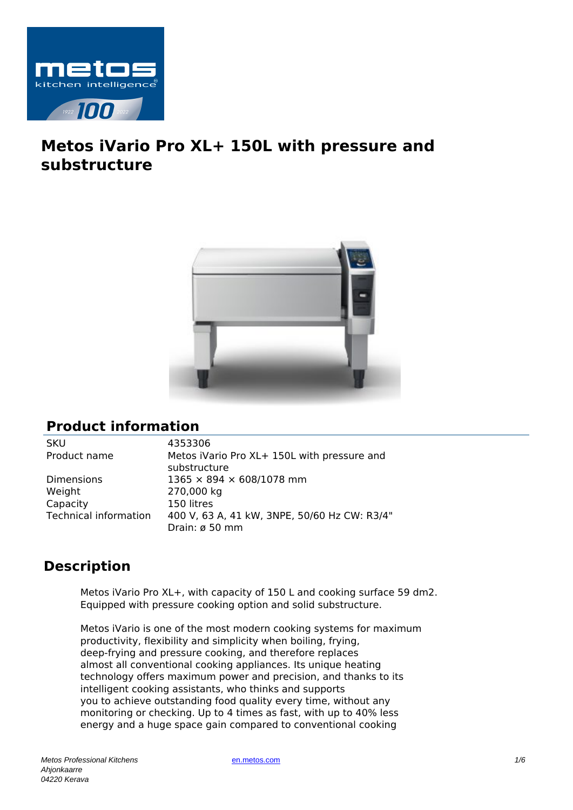

# **Metos iVario Pro XL+ 150L with pressure and substructure**



## **Product information**

SKU 4353306

Weight 270,000 kg Capacity 150 litres

Product name Metos iVario Pro XL+ 150L with pressure and substructure Dimensions 1365 × 894 × 608/1078 mm Technical information 400 V, 63 A, 41 kW, 3NPE, 50/60 Hz CW: R3/4" Drain: ø 50 mm

## **Description**

Metos iVario Pro XL+, with capacity of 150 L and cooking surface 59 dm2. Equipped with pressure cooking option and solid substructure.

Metos iVario is one of the most modern cooking systems for maximum productivity, flexibility and simplicity when boiling, frying, deep-frying and pressure cooking, and therefore replaces almost all conventional cooking appliances. Its unique heating technology offers maximum power and precision, and thanks to its intelligent cooking assistants, who thinks and supports you to achieve outstanding food quality every time, without any monitoring or checking. Up to 4 times as fast, with up to 40% less energy and a huge space gain compared to conventional cooking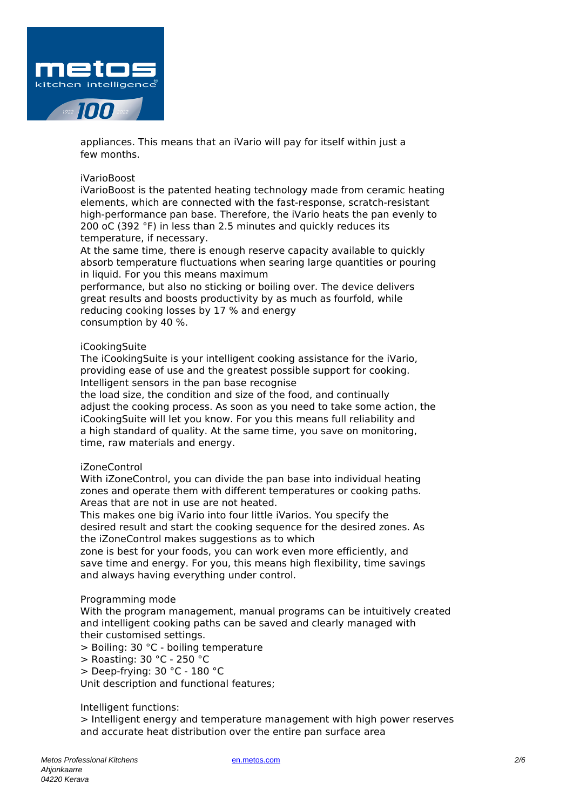

appliances. This means that an iVario will pay for itself within just a few months.

### iVarioBoost

iVarioBoost is the patented heating technology made from ceramic heating elements, which are connected with the fast-response, scratch-resistant high-performance pan base. Therefore, the iVario heats the pan evenly to 200 oC (392 °F) in less than 2.5 minutes and quickly reduces its temperature, if necessary.

At the same time, there is enough reserve capacity available to quickly absorb temperature fluctuations when searing large quantities or pouring in liquid. For you this means maximum

performance, but also no sticking or boiling over. The device delivers great results and boosts productivity by as much as fourfold, while reducing cooking losses by 17 % and energy consumption by 40 %.

#### iCookingSuite

The iCookingSuite is your intelligent cooking assistance for the iVario, providing ease of use and the greatest possible support for cooking. Intelligent sensors in the pan base recognise

the load size, the condition and size of the food, and continually adjust the cooking process. As soon as you need to take some action, the iCookingSuite will let you know. For you this means full reliability and a high standard of quality. At the same time, you save on monitoring, time, raw materials and energy.

## iZoneControl

With iZoneControl, you can divide the pan base into individual heating zones and operate them with different temperatures or cooking paths. Areas that are not in use are not heated.

This makes one big iVario into four little iVarios. You specify the desired result and start the cooking sequence for the desired zones. As the iZoneControl makes suggestions as to which

zone is best for your foods, you can work even more efficiently, and save time and energy. For you, this means high flexibility, time savings and always having everything under control.

#### Programming mode

With the program management, manual programs can be intuitively created and intelligent cooking paths can be saved and clearly managed with their customised settings.

> Boiling: 30 °C - boiling temperature

- > Roasting: 30 °C 250 °C
- > Deep-frying: 30 °C 180 °C

Unit description and functional features;

## Intelligent functions:

> Intelligent energy and temperature management with high power reserves and accurate heat distribution over the entire pan surface area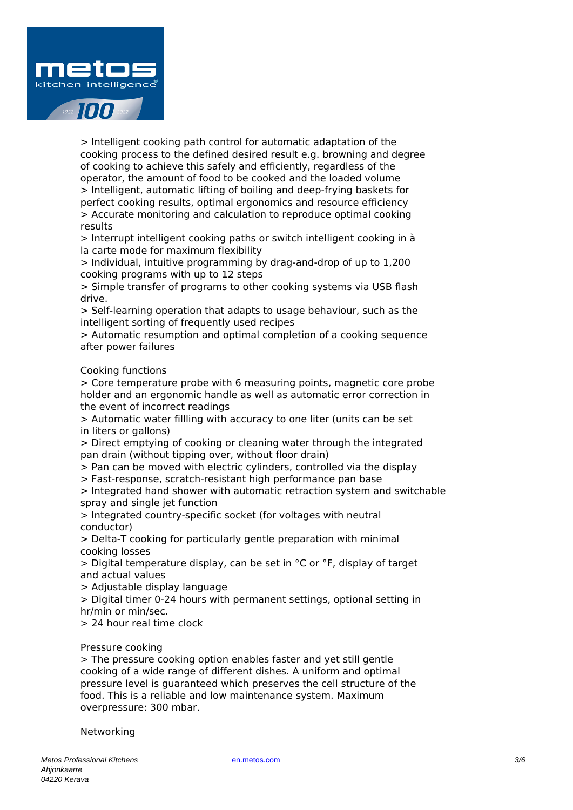

> Intelligent cooking path control for automatic adaptation of the cooking process to the defined desired result e.g. browning and degree of cooking to achieve this safely and efficiently, regardless of the operator, the amount of food to be cooked and the loaded volume > Intelligent, automatic lifting of boiling and deep-frying baskets for perfect cooking results, optimal ergonomics and resource efficiency > Accurate monitoring and calculation to reproduce optimal cooking results

> Interrupt intelligent cooking paths or switch intelligent cooking in à la carte mode for maximum flexibility

> Individual, intuitive programming by drag-and-drop of up to 1,200 cooking programs with up to 12 steps

> Simple transfer of programs to other cooking systems via USB flash drive.

> Self-learning operation that adapts to usage behaviour, such as the intelligent sorting of frequently used recipes

> Automatic resumption and optimal completion of a cooking sequence after power failures

## Cooking functions

> Core temperature probe with 6 measuring points, magnetic core probe holder and an ergonomic handle as well as automatic error correction in the event of incorrect readings

> Automatic water fillling with accuracy to one liter (units can be set in liters or gallons)

> Direct emptying of cooking or cleaning water through the integrated pan drain (without tipping over, without floor drain)

> Pan can be moved with electric cylinders, controlled via the display

> Fast-response, scratch-resistant high performance pan base

> Integrated hand shower with automatic retraction system and switchable spray and single jet function

> Integrated country-specific socket (for voltages with neutral conductor)

> Delta-T cooking for particularly gentle preparation with minimal cooking losses

> Digital temperature display, can be set in °C or °F, display of target and actual values

> Adjustable display language

> Digital timer 0-24 hours with permanent settings, optional setting in hr/min or min/sec.

> 24 hour real time clock

## Pressure cooking

> The pressure cooking option enables faster and yet still gentle cooking of a wide range of different dishes. A uniform and optimal pressure level is guaranteed which preserves the cell structure of the food. This is a reliable and low maintenance system. Maximum overpressure: 300 mbar.

Networking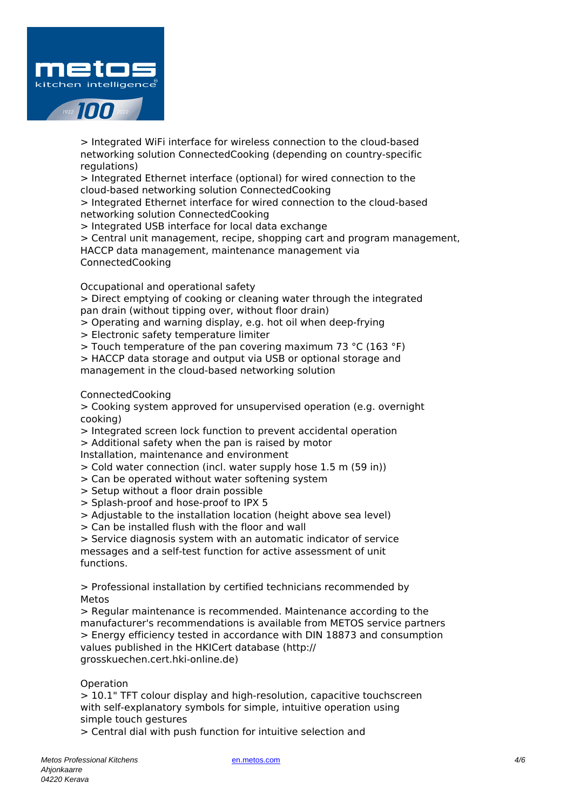

> Integrated WiFi interface for wireless connection to the cloud-based networking solution ConnectedCooking (depending on country-specific regulations)

> Integrated Ethernet interface (optional) for wired connection to the cloud-based networking solution ConnectedCooking

> Integrated Ethernet interface for wired connection to the cloud-based networking solution ConnectedCooking

> Integrated USB interface for local data exchange

> Central unit management, recipe, shopping cart and program management, HACCP data management, maintenance management via ConnectedCooking

Occupational and operational safety

> Direct emptying of cooking or cleaning water through the integrated pan drain (without tipping over, without floor drain)

> Operating and warning display, e.g. hot oil when deep-frying

> Electronic safety temperature limiter

> Touch temperature of the pan covering maximum 73 °C (163 °F)

> HACCP data storage and output via USB or optional storage and

management in the cloud-based networking solution

ConnectedCooking

> Cooking system approved for unsupervised operation (e.g. overnight cooking)

> Integrated screen lock function to prevent accidental operation

> Additional safety when the pan is raised by motor

Installation, maintenance and environment

> Cold water connection (incl. water supply hose 1.5 m (59 in))

> Can be operated without water softening system

- > Setup without a floor drain possible
- > Splash-proof and hose-proof to IPX 5

> Adjustable to the installation location (height above sea level)

> Can be installed flush with the floor and wall

> Service diagnosis system with an automatic indicator of service messages and a self-test function for active assessment of unit functions.

> Professional installation by certified technicians recommended by Metos

> Regular maintenance is recommended. Maintenance according to the manufacturer's recommendations is available from METOS service partners > Energy efficiency tested in accordance with DIN 18873 and consumption values published in the HKICert database (http:// grosskuechen.cert.hki-online.de)

## Operation

> 10.1" TFT colour display and high-resolution, capacitive touchscreen with self-explanatory symbols for simple, intuitive operation using simple touch gestures

> Central dial with push function for intuitive selection and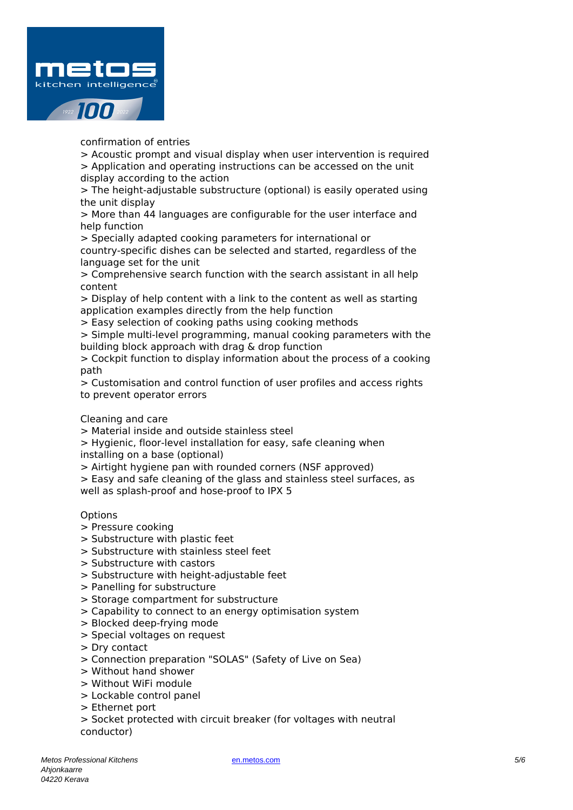

confirmation of entries

> Acoustic prompt and visual display when user intervention is required > Application and operating instructions can be accessed on the unit display according to the action

> The height-adjustable substructure (optional) is easily operated using the unit display

> More than 44 languages are configurable for the user interface and help function

> Specially adapted cooking parameters for international or country-specific dishes can be selected and started, regardless of the language set for the unit

> Comprehensive search function with the search assistant in all help content

> Display of help content with a link to the content as well as starting application examples directly from the help function

> Easy selection of cooking paths using cooking methods

> Simple multi-level programming, manual cooking parameters with the building block approach with drag & drop function

> Cockpit function to display information about the process of a cooking path

> Customisation and control function of user profiles and access rights to prevent operator errors

Cleaning and care

> Material inside and outside stainless steel

> Hygienic, floor-level installation for easy, safe cleaning when installing on a base (optional)

> Airtight hygiene pan with rounded corners (NSF approved)

> Easy and safe cleaning of the glass and stainless steel surfaces, as well as splash-proof and hose-proof to IPX 5

## **Options**

- > Pressure cooking
- > Substructure with plastic feet
- > Substructure with stainless steel feet
- > Substructure with castors
- > Substructure with height-adjustable feet
- > Panelling for substructure
- > Storage compartment for substructure
- > Capability to connect to an energy optimisation system
- > Blocked deep-frying mode
- > Special voltages on request
- > Dry contact
- > Connection preparation "SOLAS" (Safety of Live on Sea)
- > Without hand shower
- > Without WiFi module
- > Lockable control panel
- > Ethernet port
- > Socket protected with circuit breaker (for voltages with neutral conductor)